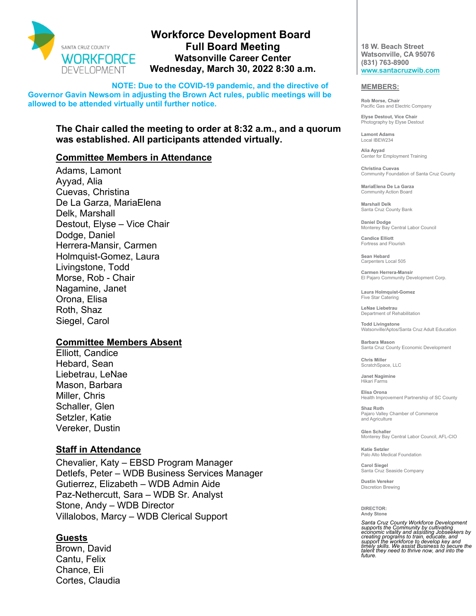

# **Workforce Development Board Full Board Meeting Watsonville Career Center Wednesday, March 30, 2022 8:30 a.m.**

**NOTE: Due to the COVID-19 pandemic, and the directive of Governor Gavin Newsom in adjusting the Brown Act rules, public meetings will be allowed to be attended virtually until further notice.** 

# **The Chair called the meeting to order at 8:32 a.m., and a quorum was established. All participants attended virtually.**

## **Committee Members in Attendance**

Adams, Lamont Ayyad, Alia Cuevas, Christina De La Garza, MariaElena Delk, Marshall Destout, Elyse – Vice Chair Dodge, Daniel Herrera-Mansir, Carmen Holmquist-Gomez, Laura Livingstone, Todd Morse, Rob - Chair Nagamine, Janet Orona, Elisa Roth, Shaz Siegel, Carol

### **Committee Members Absent**

Elliott, Candice Hebard, Sean Liebetrau, LeNae Mason, Barbara Miller, Chris Schaller, Glen Setzler, Katie Vereker, Dustin

### **Staff in Attendance**

Chevalier, Katy – EBSD Program Manager Detlefs, Peter – WDB Business Services Manager Gutierrez, Elizabeth – WDB Admin Aide Paz-Nethercutt, Sara – WDB Sr. Analyst Stone, Andy – WDB Director Villalobos, Marcy – WDB Clerical Support

### **Guests**

Brown, David Cantu, Felix Chance, Eli Cortes, Claudia

**18 W. Beach Street Watsonville, CA 95076 (831) 763-8900 www.santacruzwib.com**

#### **MEMBERS:**

**Rob Morse, Chair** Pacific Gas and Electric Company

**Elyse Destout, Vice Chair** Photography by Elyse Destout

**Lamont Adams** Local IBEW234

**Alia Ayyad** Center for Employment Training

**Christina Cuevas** Community Foundation of Santa Cruz County

**MariaElena De La Garza** Community Action Board

**Marshall Delk** Santa Cruz County Bank

**Daniel Dodge** Monterey Bay Central Labor Council

**Candice Elliott** Fortress and Flourish

**Sean Hebard** Carpenters Local 505

**Carmen Herrera-Mansir** El Pajaro Community Development Corp.

**Laura Holmquist-Gomez** Five Star Catering

**LeNae Liebetrau** Department of Rehabilitation

**Todd Livingstone** Watsonville/Aptos/Santa Cruz Adult Education

**Barbara Mason** Santa Cruz County Economic Development

**Chris Miller** ScratchSpace, LLC

**Janet Nagimine** Hikari Farms

**Elisa Orona** Health Improvement Partnership of SC County

**Shaz Roth** Pajaro Valley Chamber of Commerce and Agriculture

**Glen Schaller** Monterey Bay Central Labor Council, AFL-CIO

**Katie Setzler** Palo Alto Medical Foundation

**Carol Siegel** Santa Cruz Seaside Company

**Dustin Vereker** Discretion Brewing

**DIRECTOR: Andy Stone**

Santa Cruz County Workforce Development<br>supports the Community by cultivating<br>economic vitality and assisting Jobseekers by<br>creating programs to train, educate, and<br>support the workforce to develop key and<br>timely skills. W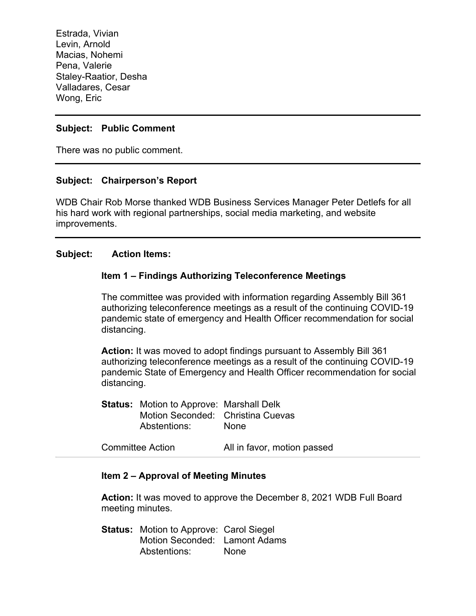Estrada, Vivian Levin, Arnold Macias, Nohemi Pena, Valerie Staley-Raatior, Desha Valladares, Cesar Wong, Eric

# **Subject: Public Comment**

There was no public comment.

### **Subject: Chairperson's Report**

WDB Chair Rob Morse thanked WDB Business Services Manager Peter Detlefs for all his hard work with regional partnerships, social media marketing, and website improvements.

### **Subject: Action Items:**

### **Item 1 – Findings Authorizing Teleconference Meetings**

The committee was provided with information regarding Assembly Bill 361 authorizing teleconference meetings as a result of the continuing COVID-19 pandemic state of emergency and Health Officer recommendation for social distancing.

**Action:** It was moved to adopt findings pursuant to Assembly Bill 361 authorizing teleconference meetings as a result of the continuing COVID-19 pandemic State of Emergency and Health Officer recommendation for social distancing.

**Status:** Motion to Approve: Marshall Delk Motion Seconded: Christina Cuevas Abstentions: None

Committee Action All in favor, motion passed

# **Item 2 – Approval of Meeting Minutes**

**Action:** It was moved to approve the December 8, 2021 WDB Full Board meeting minutes.

**Status:** Motion to Approve: Carol Siegel Motion Seconded: Lamont Adams Abstentions: None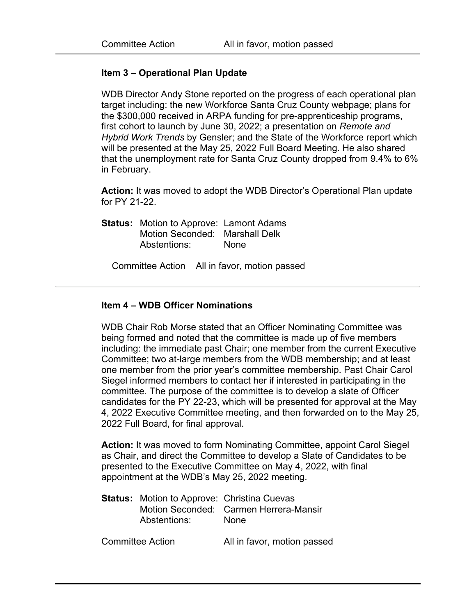### **Item 3 – Operational Plan Update**

WDB Director Andy Stone reported on the progress of each operational plan target including: the new Workforce Santa Cruz County webpage; plans for the \$300,000 received in ARPA funding for pre-apprenticeship programs, first cohort to launch by June 30, 2022; a presentation on *Remote and Hybrid Work Trends* by Gensler; and the State of the Workforce report which will be presented at the May 25, 2022 Full Board Meeting. He also shared that the unemployment rate for Santa Cruz County dropped from 9.4% to 6% in February.

**Action:** It was moved to adopt the WDB Director's Operational Plan update for PY 21-22.

**Status:** Motion to Approve: Lamont Adams Motion Seconded: Marshall Delk Abstentions: None

Committee Action All in favor, motion passed

### **Item 4 – WDB Officer Nominations**

WDB Chair Rob Morse stated that an Officer Nominating Committee was being formed and noted that the committee is made up of five members including: the immediate past Chair; one member from the current Executive Committee; two at-large members from the WDB membership; and at least one member from the prior year's committee membership. Past Chair Carol Siegel informed members to contact her if interested in participating in the committee. The purpose of the committee is to develop a slate of Officer candidates for the PY 22-23, which will be presented for approval at the May 4, 2022 Executive Committee meeting, and then forwarded on to the May 25, 2022 Full Board, for final approval.

Action: It was moved to form Nominating Committee, appoint Carol Siegel as Chair, and direct the Committee to develop a Slate of Candidates to be presented to the Executive Committee on May 4, 2022, with final appointment at the WDB's May 25, 2022 meeting.

| <b>Status:</b> Motion to Approve: Christina Cuevas |                                        |
|----------------------------------------------------|----------------------------------------|
|                                                    | Motion Seconded: Carmen Herrera-Mansir |
| Abstentions:                                       | <b>None</b>                            |

Committee Action All in favor, motion passed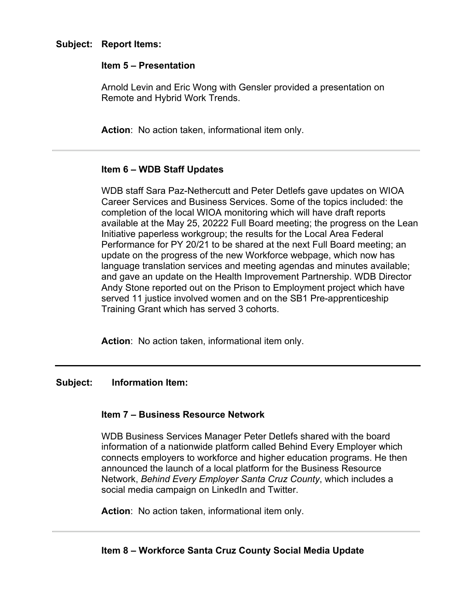### **Item 5 – Presentation**

Arnold Levin and Eric Wong with Gensler provided a presentation on Remote and Hybrid Work Trends.

**Action**: No action taken, informational item only.

# **Item 6 – WDB Staff Updates**

WDB staff Sara Paz-Nethercutt and Peter Detlefs gave updates on WIOA Career Services and Business Services. Some of the topics included: the completion of the local WIOA monitoring which will have draft reports available at the May 25, 20222 Full Board meeting; the progress on the Lean Initiative paperless workgroup; the results for the Local Area Federal Performance for PY 20/21 to be shared at the next Full Board meeting; an update on the progress of the new Workforce webpage, which now has language translation services and meeting agendas and minutes available; and gave an update on the Health Improvement Partnership. WDB Director Andy Stone reported out on the Prison to Employment project which have served 11 justice involved women and on the SB1 Pre-apprenticeship Training Grant which has served 3 cohorts.

**Action**: No action taken, informational item only.

# **Subject: Information Item:**

# **Item 7 – Business Resource Network**

WDB Business Services Manager Peter Detlefs shared with the board information of a nationwide platform called Behind Every Employer which connects employers to workforce and higher education programs. He then announced the launch of a local platform for the Business Resource Network, *Behind Every Employer Santa Cruz County*, which includes a social media campaign on LinkedIn and Twitter.

**Action**: No action taken, informational item only.